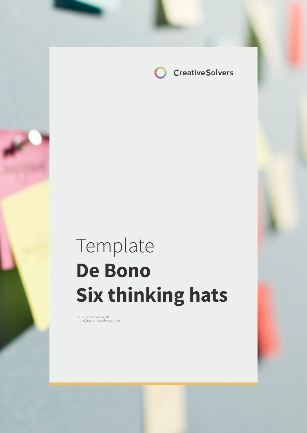

# Template **De Bono Six thinking hats**

creativesolvers.com info@creativesolvers.com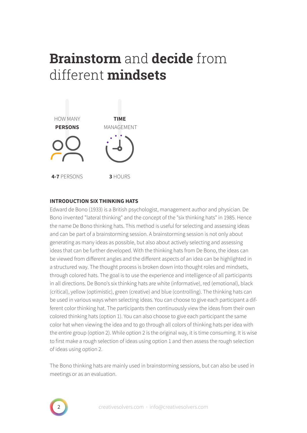# **Brainstorm** and **decide** from different **mindsets**



### **INTRODUCTION SIX THINKING HATS**

Edward de Bono (1933) is a British psychologist, management author and physician. De Bono invented "lateral thinking" and the concept of the "six thinking hats" in 1985. Hence the name De Bono thinking hats. This method is useful for selecting and assessing ideas and can be part of a brainstorming session. A brainstorming session is not only about generating as many ideas as possible, but also about actively selecting and assessing ideas that can be further developed. With the thinking hats from De Bono, the ideas can be viewed from different angles and the different aspects of an idea can be highlighted in a structured way. The thought process is broken down into thought roles and mindsets, through colored hats. The goal is to use the experience and intelligence of all participants in all directions. De Bono's six thinking hats are white (informative), red (emotional), black (critical), yellow (optimistic), green (creative) and blue (controlling). The thinking hats can be used in various ways when selecting ideas. You can choose to give each participant a different color thinking hat. The participants then continuously view the ideas from their own colored thinking hats (option 1). You can also choose to give each participant the same color hat when viewing the idea and to go through all colors of thinking hats per idea with the entire group (option 2). While option 2 is the original way, it is time consuming. It is wise to first make a rough selection of ideas using option 1 and then assess the rough selection of ideas using option 2.

The Bono thinking hats are mainly used in brainstorming sessions, but can also be used in meetings or as an evaluation.

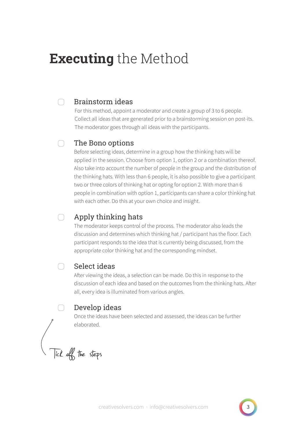## **Executing** the Method

#### Brainstorm ideas ∩

For this method, appoint a moderator and create a group of 3 to 6 people. Collect all ideas that are generated prior to a brainstorming session on post-its. The moderator goes through all ideas with the participants.

#### $\bigcap$ The Bono options

Before selecting ideas, determine in a group how the thinking hats will be applied in the session. Choose from option 1, option 2 or a combination thereof. Also take into account the number of people in the group and the distribution of the thinking hats. With less than 6 people, it is also possible to give a participant two or three colors of thinking hat or opting for option 2. With more than 6 people in combination with option 1, participants can share a color thinking hat with each other. Do this at your own choice and insight.

#### ∩ Apply thinking hats

The moderator keeps control of the process. The moderator also leads the discussion and determines which thinking hat / participant has the floor. Each participant responds to the idea that is currently being discussed, from the appropriate color thinking hat and the corresponding mindset.

#### Select ideas  $\bigcap$

After viewing the ideas, a selection can be made. Do this in response to the discussion of each idea and based on the outcomes from the thinking hats. After all, every idea is illuminated from various angles.

### Develop ideas

Once the ideas have been selected and assessed, the ideas can be further elaborated.

Tick off the steps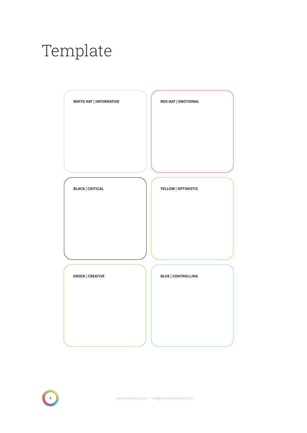# Template







4 creativesolvers.com · info@creativesolvers.com